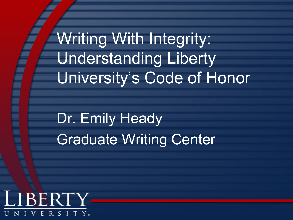Writing With Integrity: Understanding Liberty University's Code of Honor

Dr. Emily Heady Graduate Writing Center

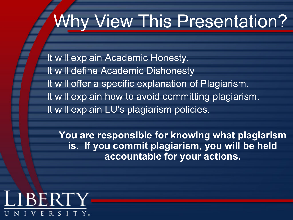# Why View This Presentation?

It will explain Academic Honesty. It will define Academic Dishonesty It will offer a specific explanation of Plagiarism. It will explain how to avoid committing plagiarism. It will explain LU's plagiarism policies.

**You are responsible for knowing what plagiarism is. If you commit plagiarism, you will be held accountable for your actions.**

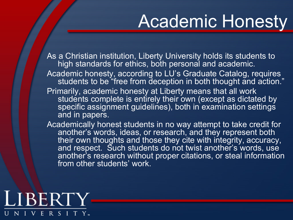## Academic Honesty

As a Christian institution, Liberty University holds its students to high standards for ethics, both personal and academic.

- Academic honesty, according to LU's Graduate Catalog, requires students to be "free from deception in both thought and action."
- Primarily, academic honesty at Liberty means that all work students complete is entirely their own (except as dictated by specific assignment guidelines), both in examination settings and in papers.
- Academically honest students in no way attempt to take credit for another's words, ideas, or research, and they represent both their own thoughts and those they cite with integrity, accuracy, and respect. Such students do not twist another's words, use another's research without proper citations, or steal information from other students' work.

### LIBERTY E R S I T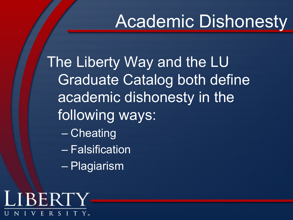# Academic Dishonesty

The Liberty Way and the LU Graduate Catalog both define academic dishonesty in the following ways:

- Cheating
- Falsification
- Plagiarism

LIBERTY  $R S I$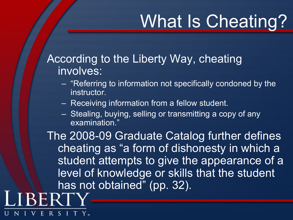# What Is Cheating?

### According to the Liberty Way, cheating involves:

- "Referring to information not specifically condoned by the instructor.
- Receiving information from a fellow student.

R S

– Stealing, buying, selling or transmitting a copy of any examination."

The 2008-09 Graduate Catalog further defines cheating as "a form of dishonesty in which a student attempts to give the appearance of a level of knowledge or skills that the student has not obtained" (pp. 32).**RERT**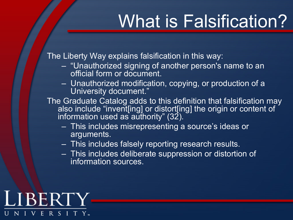# What is Falsification?

The Liberty Way explains falsification in this way:

- "Unauthorized signing of another person's name to an official form or document.
- Unauthorized modification, copying, or production of a University document."
- The Graduate Catalog adds to this definition that falsification may also include "invent[ing] or distort[ing] the origin or content of information used as authority" (32).  $\overline{\phantom{a}}$ 
	- This includes misrepresenting a source's ideas or arguments.
	- This includes falsely reporting research results.
	- This includes deliberate suppression or distortion of information sources.

#### LIBERTY R S I Е.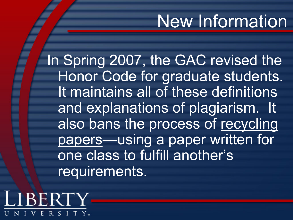## New Information

In Spring 2007, the GAC revised the Honor Code for graduate students. It maintains all of these definitions and explanations of plagiarism. It also bans the process of recycling papers—using a paper written for one class to fulfill another's requirements.

LIBERT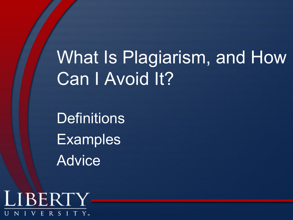# What Is Plagiarism, and How Can I Avoid It?

**Definitions Examples** Advice

LIBERTY RSITY Е.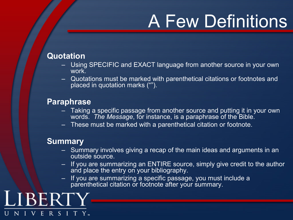# A Few Definitions

#### **Quotation**

- Using SPECIFIC and EXACT language from another source in your own work<sup>-</sup>
- Quotations must be marked with parenthetical citations or footnotes and placed in quotation marks ("").

#### **Paraphrase**

- Taking a specific passage from another source and putting it in your own words. *The Message*, for instance, is a paraphrase of the Bible.
- These must be marked with a parenthetical citation or footnote.

#### **Summary**

- Summary involves giving a recap of the main ideas and arguments in an outside source.
- If you are summarizing an ENTIRE source, simply give credit to the author and place the entry on your bibliography.
- If you are summarizing a specific passage, you must include a parenthetical citation or footnote after your summary.

LIBERT ERSITY.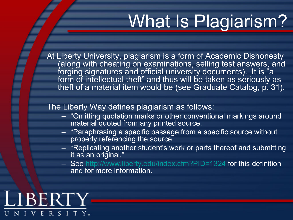# What Is Plagiarism?

At Liberty University, plagiarism is a form of Academic Dishonesty (along with cheating on examinations, selling test answers, and forging signatures and official university documents). It is "a form of intellectual theft" and thus will be taken as seriously as theft of a material item would be (see Graduate Catalog, p. 31).

#### The Liberty Way defines plagiarism as follows:

- "Omitting quotation marks or other conventional markings around material quoted from any printed source.
- "Paraphrasing a specific passage from a specific source without properly referencing the source.
- "Replicating another student's work or parts thereof and submitting it as an original."
- See http://www.liberty.edu/index.cfm?PID=1324 for this definition and for more information.

### LIBERTY ERSITY.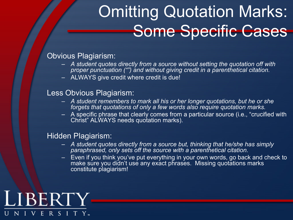## Omitting Quotation Marks: Some Specific Cases

#### Obvious Plagiarism:

- *A student quotes directly from a source without setting the quotation off with proper punctuation ("") and without giving credit in a parenthetical citation.*
- ALWAYS give credit where credit is due!

#### Less Obvious Plagiarism:

- *A student remembers to mark all his or her longer quotations, but he or she forgets that quotations of only a few words also require quotation marks.*
- A specific phrase that clearly comes from a particular source (i.e., "crucified with Christ" ALWAYS needs quotation marks).

#### Hidden Plagiarism:

- *A student quotes directly from a source but, thinking that he/she has simply paraphrased, only sets off the source with a parenthetical citation.*
- Even if you think you've put everything in your own words, go back and check to make sure you didn't use any exact phrases. Missing quotations marks constitute plagiarism!

### LIBERTY NIVERSITY.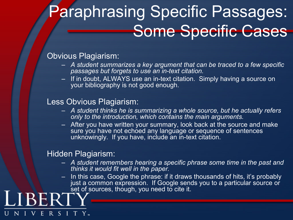## **Paraphrasing Specific Passages:** Some Specific Cases

#### Obvious Plagiarism:

- *A student summarizes a key argument that can be traced to a few specific passages but forgets to use an in-text citation.*
- If in doubt, ALWAYS use an in-text citation. Simply having a source on your bibliography is not good enough.

#### Less Obvious Plagiarism:

- *A student thinks he is summarizing a whole source, but he actually refers only to the introduction, which contains the main arguments.*
- After you have written your summary, look back at the source and make sure you have not echoed any language or sequence of sentences unknowingly. If you have, include an in-text citation.

#### Hidden Plagiarism:

LIBER

 $-V$ 

ERSIT

- *A student remembers hearing a specific phrase some time in the past and thinks it would fit well in the paper.*
- In this case, Google the phrase: if it draws thousands of hits, it's probably just a common expression. If Google sends you to a particular source or set of sources, though, you need to cite it.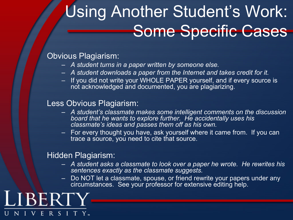## Using Another Student's Work: Some Specific Cases

#### Obvious Plagiarism:

- *A student turns in a paper written by someone else.*
- *A student downloads a paper from the Internet and takes credit for it.*
- If you did not write your WHOLE PAPER yourself, and if every source is not acknowledged and documented, you are plagiarizing.

#### Less Obvious Plagiarism:

- *A student's classmate makes some intelligent comments on the discussion board that he wants to explore further. He accidentally uses his classmate's ideas and passes them off as his own.*
- For every thought you have, ask yourself where it came from. If you can trace a source, you need to cite that source.

#### Hidden Plagiarism:

- *A student asks a classmate to look over a paper he wrote. He rewrites his sentences exactly as the classmate suggests.*
- Do NOT let a classmate, spouse, or friend rewrite your papers under any circumstances. See your professor for extensive editing help.

LIBERT VERSITY.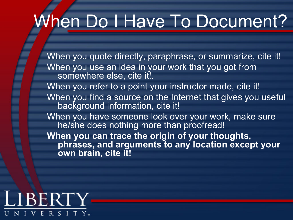# When Do I Have To Document?

When you quote directly, paraphrase, or summarize, cite it! When you use an idea in your work that you got from somewhere else, cite it!. When you refer to a point your instructor made, cite it! When you find a source on the Internet that gives you useful background information, cite it! When you have someone look over your work, make sure he/she does nothing more than proofread! **When you can trace the origin of your thoughts, phrases, and arguments to any location except your own brain, cite it!**

#### LIBERTY RSITY. E.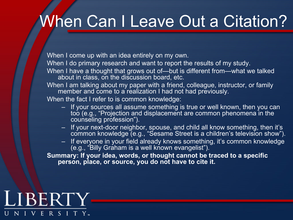### When Can I Leave Out a Citation?

When I come up with an idea entirely on my own.

When I do primary research and want to report the results of my study.

When I have a thought that grows out of-but is different from-what we talked about in class, on the discussion board, etc.

When I am talking about my paper with a friend, colleague, instructor, or family member and come to a realization I had not had previously.

When the fact I refer to is common knowledge:

- If your sources all assume something is true or well known, then you can too (e.g., "Projection and displacement are common phenomena in the counseling profession").
- If your next-door neighbor, spouse, and child all know something, then it's common knowledge (e.g., "Sesame Street is a children's television show").
- If everyone in your field already knows something, it's common knowledge (e.g., "Billy Graham is a well known evangelist").

**Summary: If your idea, words, or thought cannot be traced to a specific person, place, or source, you do not have to cite it.**

#### LIBERTY ERSITY. NIV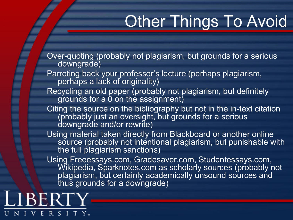## Other Things To Avoid

Over-quoting (probably not plagiarism, but grounds for a serious downgrade)

- Parroting back your professor's lecture (perhaps plagiarism, perhaps a lack of originality)
- Recycling an old paper (probably not plagiarism, but definitely grounds for a 0 on the assignment)
- Citing the source on the bibliography but not in the in-text citation (probably just an oversight, but grounds for a serious downgrade and/or rewrite)
- Using material taken directly from Blackboard or another online source (probably not intentional plagiarism, but punishable with the full plagiarism sanctions)

Using Freeessays.com, Gradesaver.com, Studentessays.com, Wikipedia, Sparknotes.com as scholarly sources (probably not plagiarism, but certainly academically unsound sources and thus grounds for a downgrade)

LIBERT RSITY. Е.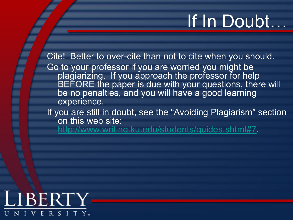# If In Doubt…

Cite! Better to over-cite than not to cite when you should. Go to your professor if you are worried you might be plagiarizing. If you approach the professor for help BEFORE the paper is due with your questions, there will be no penalties, and you will have a good learning experience.

If you are still in doubt, see the "Avoiding Plagiarism" section on this web site:

http://www.writing.ku.edu/students/guides.shtml#7.

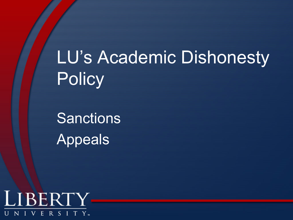LU's Academic Dishonesty **Policy** 

Sanctions Appeals

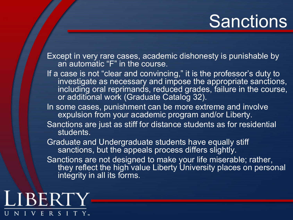## **Sanctions**

Except in very rare cases, academic dishonesty is punishable by an automatic "F" in the course.

If a case is not "clear and convincing," it is the professor's duty to investigate as necessary and impose the appropriate sanctions, including oral reprimands, reduced grades, failure in the course, or additional work (Graduate Catalog 32).

In some cases, punishment can be more extreme and involve expulsion from your academic program and/or Liberty.

Sanctions are just as stiff for distance students as for residential students.

Graduate and Undergraduate students have equally stiff statute and online, graduate creative here expansion sanctions, but the appeals process differs slightly.

Sanctions are not designed to make your life miserable; rather, they reflect the high value Liberty University places on personal integrity in all its forms.

LIBERTY ERSITY.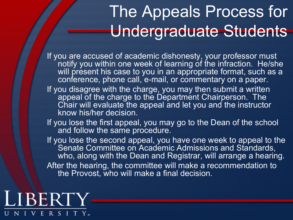### The Appeals Process for Undergraduate Students

If you are accused of academic dishonesty, your professor must notify you within one week of learning of the infraction. He/she will present his case to you in an appropriate format, such as a conference, phone call, e-mail, or commentary on a paper.

If you disagree with the charge, you may then submit a written appeal of the charge to the Department Chairperson. The Chair will evaluate the appeal and let you and the instructor know his/her decision.

If you lose the first appeal, you may go to the Dean of the school and follow the same procedure.

If you lose the second appeal, you have one week to appeal to the Senate Committee on Academic Admissions and Standards, who, along with the Dean and Registrar, will arrange a hearing. After the hearing, the committee will make a recommendation to the Provost, who will make a final decision.

### LIBERTY ERSITY.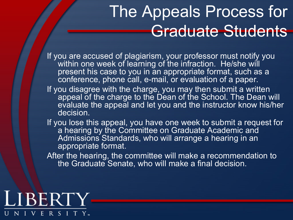### The Appeals Process for Graduate Students

If you are accused of plagiarism, your professor must notify you within one week of learning of the infraction. He/she will present his case to you in an appropriate format, such as a conference, phone call, e-mail, or evaluation of a paper.

- If you disagree with the charge, you may then submit a written appeal of the charge to the Dean of the School. The Dean will evaluate the appeal and let you and the instructor know his/her decision.
- If you lose this appeal, you have one week to submit a request for a hearing by the Committee on Graduate Academic and Admissions Standards, who will arrange a hearing in an appropriate format.

After the hearing, the committee will make a recommendation to the Graduate Senate, who will make a final decision.

#### LIBERTY RSITY. E.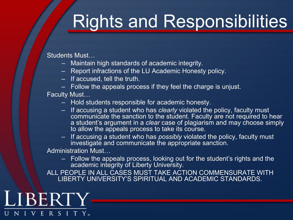# Rights and Responsibilities

Students Must…

- Maintain high standards of academic integrity.
- Report infractions of the LU Academic Honesty policy.
- If accused, tell the truth.
- Follow the appeals process if they feel the charge is unjust.

Faculty Must…

- Hold students responsible for academic honesty.
- If accusing a student who has *clearly* violated the policy, faculty must communicate the sanction to the student. Faculty are not required to hear a student's argument in a *clear* case of plagiarism and may choose simply to allow the appeals process to take its course.
- If accusing a student who has *possibly* violated the policy, faculty must investigate and communicate the appropriate sanction.

Administration Must…

– Follow the appeals process, looking out for the student's rights and the academic integrity of Liberty University.

ALL PEOPLE IN ALL CASES MUST TAKE ACTION COMMENSURATE WITH LIBERTY UNIVERSITY'S SPIRITUAL AND ACADEMIC STANDARDS.

LIBERTY NIVERSITY.